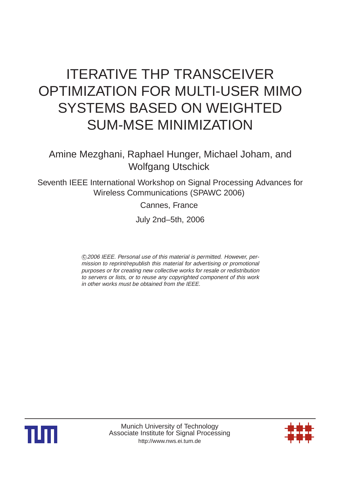# ITERATIVE THP TRANSCEIVER OPTIMIZATION FOR MULTI-USER MIMO SYSTEMS BASED ON WEIGHTED SUM-MSE MINIMIZATION

Amine Mezghani, Raphael Hunger, Michael Joham, and Wolfgang Utschick

Seventh IEEE International Workshop on Signal Processing Advances for Wireless Communications (SPAWC 2006)

Cannes, France

July 2nd–5th, 2006

 c <sup>2006</sup> IEEE. Personal use of this material is permitted. However, permission to reprint/republish this material for advertising or promotional purposes or for creating new collective works for resale or redistribution to servers or lists, or to reuse any copyrighted component of this work in other works must be obtained from the IEEE.



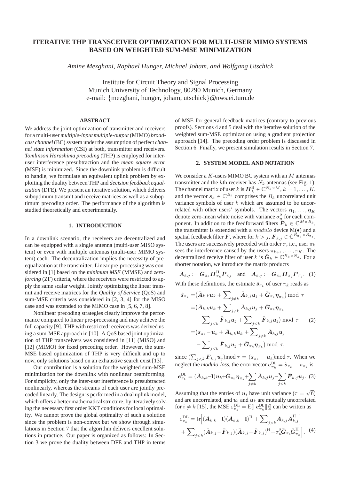## **ITERATIVE THP TRANSCEIVER OPTIMIZATION FOR MULTI-USER MIMO SYSTEMS BASED ON WEIGHTED SUM-MSE MINIMIZATION**

*Amine Mezghani, Raphael Hunger, Michael Joham, and Wolfgang Utschick*

Institute for Circuit Theory and Signal Processing Munich University of Technology, 80290 Munich, Germany e-mail: {mezghani, hunger, joham, utschick}@nws.ei.tum.de

## **ABSTRACT**

We address the joint optimization of transmitter and receivers for a multi-user *multiple-input multiple-output* (MIMO) *broadcast channel*(BC) system under the assumption of perfect *channel state information* (CSI) at both, transmitter and receivers. *Tomlinson Harashima precoding* (THP) is employed for interuser interference presubtraction and the *mean square error* (MSE) is minimized. Since the downlink problem is difficult to handle, we formulate an equivalent uplink problem by exploiting the duality between THP and *decision feedback equalization* (DFE). We present an iterative solution, which delivers suboptimum transmit and receive matrices as well as a suboptimum precoding order. The performance of the algorithm is studied theoretically and experimentally.

## **1. INTRODUCTION**

In a downlink scenario, the receivers are decentralized and can be equipped with a single antenna (multi-user MISO system) or even with multiple antennas (multi-user MIMO system) each. The decentralization implies the necessity of preequalization at the transmitter. Linear pre-processing was considered in [1] based on the *minimum MSE* (MMSE) and *zeroforcing* (ZF) criteria, where the receivers were restricted to apply the same scalar weight. Jointly optimizing the linear transmit and receive matrices for the *Quality of Service* (QoS) and sum-MSE criteria was considered in [2, 3, 4] for the MISO case and was extended to the MIMO case in [5, 6, 7, 8].

Nonlinear precoding strategies clearly improve the performance compared to linear pre-processing and may achieve the full capacity [9]. THP with restricted receivers was derived using a sum-MSE approach in [10]. A QoS based joint optimization of THP transceivers was considered in [11] (MISO) and [12] (MIMO) for fixed precoding order. However, the sum-MSE based optimization of THP is very difficult and up to now, only solutions based on an exhaustive search exist [13].

Our contribution is a solution for the weighted sum-MSE minimization for the downlink with nonlinear beamforming. For simplicity, only the inter-user interference is presubtracted nonlinearly, whereas the streams of each user are jointly precoded linearly. The design is performed in a dual uplink model, which offers a better mathematical structure, by iteratively solving the necessary first order KKT conditions for local optimality. We cannot prove the global optimality of such a solution since the problem is non-convex but we show through simulations in Section 7 that the algorithm delivers excellent solutions in practice. Our paper is organized as follows: In Section 3 we prove the duality between DFE and THP in terms

of MSE for general feedback matrices (contrary to previous proofs). Sections 4 and 5 deal with the iterative solution of the weighted sum-MSE optimization using a gradient projection approach [14]. The precoding order problem is discussed in Section 6. Finally, we present simulation results in Section 7.

## **2. SYSTEM MODEL AND NOTATION**

We consider a  $K$ -users MIMO BC system with an  $M$  antennas transmitter and the kth receiver has  $N_k$  antennas (see Fig. 1). The channel matrix of user k is  $\mathbf{H}_k^{\text{H}} \in \mathbb{C}^{N_k \times M}, k = 1, \ldots, K,$ and the vector  $s_k \in \mathbb{C}^{B_k}$  comprises the  $B_k$  uncorrelated unit variance symbols of user  $k$  which are assumed to be uncorrelated with other users' symbols. The vectors  $\eta_1, \ldots, \eta_K$ denote zero-mean white noise with variance  $\sigma_n^2$  for each component. In addition to the feedforward filters  $\tilde{\boldsymbol{P}}_k \in \mathbb{C}^{M \times B_k}$ , the transmitter is extended with a  $modulo$  device  $M(\bullet)$  and a spatial feedback filter  $\bar{F}$ , where for  $k>j$ ,  $\bar{F}_{k,j} \in \mathbb{C}^{B_{\pi_k} \times B_{\pi_j}}$ . The users are successively precoded with order  $\pi$ , i.e., user  $\pi_k$ sees the interference caused by the users  $\pi_{k+1}, \ldots, \pi_K$ . The decentralized receive filter of user k is  $\bar{G}_k \in \mathbb{C}^{B_k \times N_k}$ . For a shorter notation, we introduce the matrix products

$$
\bar{A}_{k,j} := \bar{G}_{\pi_k} H_{\pi_k}^{\mathrm{H}} \bar{P}_{\pi_j} \quad \text{and} \quad A_{k,j} := G_{\pi_k} H_{\pi_j} P_{\pi_j}. \tag{1}
$$
\nWith these definitions, the estimate  $\hat{s}_{\pi_k}$  of user  $\pi_k$  reads as

$$
\hat{\mathbf{s}}_{\pi_k} = (\bar{\mathbf{A}}_{k,k} \mathbf{u}_k + \sum_{j \neq k} \bar{\mathbf{A}}_{k,j} \mathbf{u}_j + \bar{\mathbf{G}}_{\pi_k} \boldsymbol{\eta}_{\pi_k}) \bmod \tau \n= (\bar{\mathbf{A}}_{k,k} \mathbf{u}_k + \sum_{j \neq k} \bar{\mathbf{A}}_{k,j} \mathbf{u}_j + \bar{\mathbf{G}}_{\pi_k} \boldsymbol{\eta}_{\pi_k} \n- \sum_{j < k} \bar{\mathbf{F}}_{k,j} \mathbf{u}_j + \sum_{j < k} \bar{\mathbf{F}}_{k,j} \mathbf{u}_j \bmod \tau \qquad (2) \n= (\mathbf{s}_{\pi_k} - \mathbf{u}_k + \bar{\mathbf{A}}_{k,k} \mathbf{u}_k + \sum_{j \neq k} \bar{\mathbf{A}}_{k,j} \mathbf{u}_j \n- \sum_{j < k} \bar{\mathbf{F}}_{k,j} \mathbf{u}_j + \bar{\mathbf{G}}_{\pi_k} \boldsymbol{\eta}_{\pi_k}) \bmod \tau,
$$

since  $(\sum_{j < k} \bar{F}_{k,j} u_j)$  mod  $\tau = (s_{\pi_k} - u_k)$  mod  $\tau$ . When we neglect the *modulo-loss*, the error vector  $e_{\pi_k}^{\text{DL}} = \hat{s}_{\pi_k} - s_{\pi_k}$  is

$$
\bm{e}_{\pi_k}^{\rm DL} = (\bar{\bm{A}}_{k,k} - \bm{I})\bm{u}_k + \bar{\bm{G}}_{\pi_k}\bm{\eta}_{\pi_k} + \sum_{j \neq k} \bar{\bm{A}}_{k,j}\bm{u}_j - \sum_{j < k} \bar{\bm{F}}_{k,j}\bm{u}_j. \tag{3}
$$

Assuming that the entries of  $u_i$  have unit variance ( $\tau = \sqrt{6}$ ) and are uncorrelated, and  $\boldsymbol{u}_i$  and  $\boldsymbol{u}_k$  are mutually uncorrelated for  $i \neq k$  [15], the MSE  $\varepsilon_{\pi_k}^{\text{DL}} = E[\Vert e_{\pi_k}^{\text{DL}} \Vert_2^2]$  can be written as

$$
\varepsilon_{\pi_k}^{\text{DL}} = \text{tr}\Big[ (\bar{\boldsymbol{A}}_{k,k} - \mathbf{I})(\bar{\boldsymbol{A}}_{k,k} - \mathbf{I})^{\text{H}} + \sum_{j>k} \bar{\boldsymbol{A}}_{k,j} \bar{\boldsymbol{A}}_{k,j}^{\text{H}} \Big] + \sum_{j < k} (\bar{\boldsymbol{A}}_{k,j} - \bar{\boldsymbol{F}}_{k,j})(\bar{\boldsymbol{A}}_{k,j} - \bar{\boldsymbol{F}}_{k,j})^{\text{H}} + \sigma_n^2 \bar{\boldsymbol{G}}_{\pi_k} \bar{\boldsymbol{G}}_{\pi_k}^{\text{H}} \Big]. \tag{4}
$$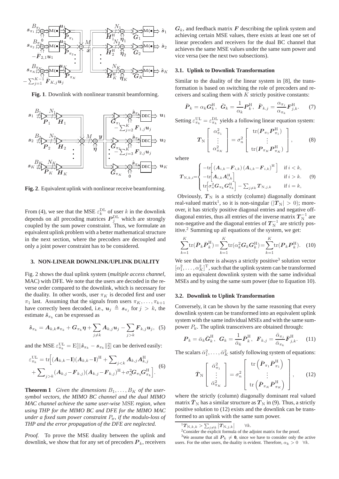

**Fig. 1**. Downlink with nonlinear transmit beamforming.



**Fig. 2**. Equivalent uplink with nonlinear receive beamforming.

From (4), we see that the MSE  $\varepsilon_k^{\text{DL}}$  of user k in the downlink depends on all precoding matrices  $P_i^{\text{DL}}$  which are strongly coupled by the sum power constraint. Thus, we formulate an equivalent uplink problem with a better mathematical structure in the next section, where the precoders are decoupled and only a joint power constraint has to be considered.

## **3. NON-LINEAR DOWNLINK/UPLINK DUALITY**

Fig. 2 shows the dual uplink system (*multiple access channel*, MAC) with DFE. We note that the users are decoded in the reverse order compared to the downlink, which is necessary for the duality. In other words, user  $\pi_K$  is decoded first and user  $\pi_1$  last. Assuming that the signals from users  $\pi_K, \ldots, \pi_{k+1}$ have correctly been decoded, i.e.,  $u_j \triangleq s_{\pi_j}$  for  $j > k$ , the estimate  $\hat{s}_{\pi_k}$  can be expressed as

$$
\hat{\boldsymbol{s}}_{\pi_k} = \boldsymbol{A}_{k,k} \boldsymbol{s}_{\pi_k} + \boldsymbol{G}_{\pi_k} \boldsymbol{\eta} + \sum_{j \neq k} \boldsymbol{A}_{k,j} \boldsymbol{u}_j - \sum_{j > k} \boldsymbol{F}_{k,j} \boldsymbol{u}_j, \hspace{0.2cm} (5)
$$

and the MSE  $\varepsilon_{\pi_k}^{\text{UL}} = \text{E}[\|\hat{s}_{\pi_k} - s_{\pi_k}\|_2^2]$  can be derived easily:

$$
\varepsilon_{\pi_k}^{\text{UL}} = \text{tr}\Big[ (\bm{A}_{k,k} - \mathbf{I})(\bm{A}_{k,k} - \mathbf{I})^{\text{H}} + \sum_{j < k} \bm{A}_{k,j} \bm{A}_{k,j}^{\text{H}} + \sum_{j > k} (\bm{A}_{k,j} - \bm{F}_{k,j})(\bm{A}_{k,j} - \bm{F}_{k,j})^{\text{H}} + \sigma_n^2 \bm{G}_{\pi_k} \bm{G}_{\pi_k}^{\text{H}} \Big]. \tag{6}
$$

**Theorem 1** *Given the dimensions*  $B_1, \ldots, B_K$  *of the usersymbol vectors, the MIMO BC channel and the dual MIMO MAC channel achieve the same user-wise* MSE *region, when using THP for the MIMO BC and DFE for the MIMO MAC under a fixed sum power constraint* P*tr, if the modulo-loss of THP and the error propagation of the DFE are neglected.*

*Proof.* To prove the MSE duality between the uplink and downlink, we show that for any set of precoders  $P_k$ , receivers  $G_k$ , and feedback matrix  $F$  describing the uplink system and achieving certain MSE values, there exists at least one set of linear precoders and receivers for the dual BC channel that achieves the same MSE values under the same sum power and vice versa (see the next two subsections).

## **3.1. Uplink to Downlink Transformation**

Similar to the duality of the linear system in [8], the transformation is based on switching the role of precoders and receivers and scaling them with  $K$  strictly positive constants:

$$
\bar{\boldsymbol{P}}_k = \alpha_k \boldsymbol{G}_k^{\mathrm{H}}, \ \ \bar{\boldsymbol{G}}_k = \frac{1}{\alpha_k} \boldsymbol{P}_k^{\mathrm{H}}, \ \ \bar{\boldsymbol{F}}_{k,j} = \frac{\alpha_{\pi_j}}{\alpha_{\pi_k}} \boldsymbol{F}_{j,k}^{\mathrm{H}}.
$$
 (7)

Setting  $\varepsilon_{\pi_k}^{\text{UL}} = \varepsilon_{\pi_k}^{\text{DL}}$  yields a following linear equation system:

$$
\boldsymbol{T}_{\mathrm{N}}\left[\begin{array}{c} \alpha_{\pi_1}^2 \\ \vdots \\ \alpha_{\pi_K}^2 \end{array}\right] = \sigma_n^2 \left[\begin{array}{c} \mathrm{tr}(\boldsymbol{P}_{\pi_1}\boldsymbol{P}_{\pi_1}^{\mathrm{H}}) \\ \vdots \\ \mathrm{tr}(\boldsymbol{P}_{\pi_K}\boldsymbol{P}_{\pi_K}^{\mathrm{H}})\end{array}\right],\tag{8}
$$

where

$$
T_{\mathrm{N},k,i} = \begin{cases} -\mathrm{tr}\left[ \left( A_{i,k} - F_{i,k} \right) \left( A_{i,k} - F_{i,k} \right)^\mathrm{H} \right] & \text{if } i < k, \\ -\mathrm{tr}\left[ A_{i,k} A_{i,k}^\mathrm{H} \right] & \text{if } i > k. \\ \mathrm{tr}\left[ \sigma_n^2 \mathbf{G}_{\pi_k} \mathbf{G}_{\pi_k}^\mathrm{H} \right] - \sum_{j \neq k} T_{\mathrm{N},j,k} & \text{if } i = k, \end{cases} \tag{9}
$$

Obviously,  $T_N$  is a strictly (column) diagonally dominant real-valued matrix<sup>1</sup>, so it is non-singular ( $|T_N| > 0$ ); moreover, it has strictly positive diagonal entries and negative offdiagonal entries, thus all entries of the inverse matrix  $T_N^{-1}$  are non-negative and the diagonal entries of  $T_N^{-1}$  are strictly positive. $2$  Summing up all equations of the system, we get:

$$
\sum_{k=1}^{K} \text{tr}(\bar{P}_k \bar{P}_k^{\text{H}}) = \sum_{k=1}^{K} \text{tr}(\alpha_k^2 G_k G_k^{\text{H}}) = \sum_{k=1}^{K} \text{tr}(\bm{P}_k \bm{P}_k^{\text{H}}).
$$
 (10)

We see that there is always a strictly positive<sup>3</sup> solution vector  $[\alpha_1^2, \ldots, \alpha_K^2]^T$ , such that the uplink system can be transformed into an equivalent downlink system with the same individual MSEs and by using the same sum power (due to Equation 10).

## **3.2. Downlink to Uplink Transformation**

Conversely, it can be shown by the same reasoning that every downlink system can be transformed into an equivalent uplink system with the same individual MSEs and with the same sumpower  $P_{tr}$ . The uplink transceivers are obtained through:

$$
\boldsymbol{P}_k = \bar{\alpha}_k \bar{\boldsymbol{G}}_k^{\mathrm{H}}, \ \ \boldsymbol{G}_k = \frac{1}{\bar{\alpha}_k} \bar{\boldsymbol{P}}_k^{\mathrm{H}}, \ \ \boldsymbol{F}_{k,j} = \frac{\bar{\alpha}_{\pi_j}}{\bar{\alpha}_{\pi_k}} \bar{\boldsymbol{F}}_{j,k}^{\mathrm{H}}.
$$
 (11)

The scalars  $\bar{\alpha}_1^2, \ldots, \bar{\alpha}_K^2$  satisfy following system of equations:

$$
\bar{T}_{\mathrm{N}}\left[\begin{array}{c}\bar{\alpha}_{\pi_{1}}^{2}\\ \vdots\\ \bar{\alpha}_{\pi_{K}}^{2}\end{array}\right]=\sigma_{n}^{2}\left[\begin{array}{c}\mathrm{tr}\left(\bar{\boldsymbol{P}}_{\pi_{1}}\bar{\boldsymbol{P}}_{\pi_{1}}^{\mathrm{H}}\right)\\ \vdots\\ \mathrm{tr}\left(\bar{\boldsymbol{P}}_{\pi_{K}}\bar{\boldsymbol{P}}_{\pi_{K}}^{\mathrm{H}}\right)\end{array}\right],\qquad(12)
$$

where the strictly (column) diagonally dominant real valued matrix  $\bar{T}_{\text{N}}$  has a similar structure as  $T_{\text{N}}$  in (9). Thus, a strictly positive solution to (12) exists and the downlink can be transformed to an uplink with the same sum power.

 $\frac{1}{T_{\text{N},k,k}}$  >  $\sum_{j\neq k}$   $\left| T_{\text{N},j,k} \right|$ 

<sup>&</sup>lt;sup>1</sup> $T_{\text{N},k,k} > \sum_{j \neq k} |T_{\text{N},j,k}|$   $\forall k$ .<br><sup>2</sup>Consider the explicit formula of the adjoint matrix for the proof.

<sup>&</sup>lt;sup>3</sup>We assume that all  $P_k \neq 0$ , since we have to consider only the active users. For the other users, the duality is evident. Therefore,  $\alpha_k > 0 \quad \forall k$ .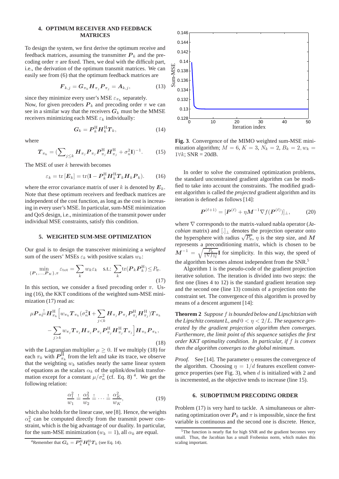## **4. OPTIMUM RECEIVER AND FEEDBACK MATRICES**

To design the system, we first derive the optimum receive and feedback matrices, assuming the transmitter  $P_k$  and the precoding order  $\pi$  are fixed. Then, we deal with the difficult part, i.e., the derivation of the optimum transmit matrices. We can easily see from (6) that the optimum feedback matrices are

$$
\boldsymbol{F}_{k,j} = \boldsymbol{G}_{\pi_k} \boldsymbol{H}_{\pi_j} \boldsymbol{P}_{\pi_j} = \boldsymbol{A}_{k,j},
$$
 (13)

since they minimize every user's MSE  $\varepsilon_{\pi_k}$  separately. Now, for given precoders  $P_k$  and precoding order  $\pi$  we can see in a similar way that the receivers  $G_k$  must be the MMSE receivers minimizing each MSE  $\varepsilon_k$  individually:

$$
G_k = P_k^{\rm H} H_k^{\rm H} T_k, \tag{14}
$$

where

$$
\boldsymbol{T}_{\pi_k} = \left(\sum_{j\leq k} \boldsymbol{H}_{\pi_j} \boldsymbol{P}_{\pi_j} \boldsymbol{P}_{\pi_j}^{\mathrm{H}} \boldsymbol{H}_{\pi_j}^{\mathrm{H}} + \sigma_n^2 \mathbf{I}\right)^{-1}.\tag{15}
$$

The MSE of user  $k$  herewith becomes

$$
\varepsilon_k = \text{tr}\left[E_k\right] = \text{tr}(\mathbf{I} - \boldsymbol{P}_k^{\text{H}} \boldsymbol{H}_k^{\text{H}} \boldsymbol{T}_k \boldsymbol{H}_k \boldsymbol{P}_k). \qquad (16)
$$

where the error covariance matrix of user k is denoted by  $E_k$ . Note that these optimum receivers and feedback matrices are independent of the cost function, as long as the cost is increasing in every user's MSE. In particular, sum-MSE minimization and QoS design, i.e., minimization of the transmit power under individual MSE constraints, satisfy this condition.

## **5. WEIGHTED SUM-MSE OPTIMIZATION**

Our goal is to design the transceiver minimizing a *weighted* sum of the users' MSEs  $\varepsilon_k$  with positive scalars  $w_k$ :

$$
\min_{\{P_1,\dots,P_K\},\pi} \varepsilon_{\text{tot}} = \sum_k w_k \varepsilon_k \quad \text{s.t.: } \sum_k \text{tr}(\boldsymbol{P}_k \boldsymbol{P}_k^{\text{H}}) \le P_{\text{tr}}.
$$
\n(17)

In this section, we consider a fixed precoding order  $\pi$ . Using (16), the KKT conditions of the weighted sum-MSE minimization (17) read as:

$$
\mu P_{\pi_{k}} \frac{1}{k} H_{\pi_{k}}^{\mathrm{H}} \Big[ w_{\pi_{k}} T_{\pi_{k}} (\sigma_{n}^{2} \mathbf{I} + \sum_{j < k} H_{\pi_{j}} P_{\pi_{j}} P_{\pi_{j}}^{\mathrm{H}} H_{\pi_{j}}^{\mathrm{H}}) T_{\pi_{k}} - \sum_{j > k} w_{\pi_{j}} T_{\pi_{j}} H_{\pi_{j}} P_{\pi_{j}} P_{\pi_{j}}^{\mathrm{H}} H_{\pi_{j}}^{\mathrm{H}} T_{\pi_{j}} \Big] H_{\pi_{k}} P_{\pi_{k}},
$$
\n(18)

with the Lagrangian multiplier  $\mu \geq 0$ . If we multiply (18) for each  $\pi_k$  with  $P_{\pi_k}^{\text{H}}$  from the left and take its trace, we observe that the weighting  $w_k$  satisfies nearly the same linear system of equations as the scalars  $\alpha_k$  of the uplink/dowlink transformation except for a constant  $\mu/\sigma_n^2$  (cf. Eq. 8)<sup>4</sup>. We get the following relation:

$$
\frac{\alpha_1^2}{w_1} \stackrel{!}{=} \frac{\alpha_2^2}{w_2} \stackrel{!}{=} \dots \stackrel{!}{=} \frac{\alpha_K^2}{w_K},\tag{19}
$$

which also holds for the linear case, see [8]. Hence, the weights  $\alpha_k^2$  can be computed directly from the transmit power constraint, which is the big advantage of our duality. In particular, for the sum-MSE minimization ( $w_k = 1$ ), all  $\alpha_k$  are equal.

<sup>4</sup>Remember that  $G_k = P_k^{\rm H} H_k^{\rm H} T_k$  (see Eq. 14).



**Fig. 3**. Convergence of the MIMO weighted sum-MSE minimization algorithm;  $M = 6$ ,  $K = 3$ ,  $N_k = 2$ ,  $B_k = 2$ ,  $w_k =$  $1\forall k$ ; SNR = 20dB.

In order to solve the constrained optimization problems, the standard unconstrained gradient algorithm can be modified to take into account the constraints. The modified gradient algorithm is called the *projected* gradient algorithm and its iteration is defined as follows [14]:

$$
\boldsymbol{P}^{(\ell+1)} = [\boldsymbol{P}^{(\ell)} + \eta \boldsymbol{M}^{-1} \nabla f(\boldsymbol{P}^{(\ell)})]_{\perp},\tag{20}
$$

where ∇ corresponds to the matrix-valued nabla operator (*Jacobian* matrix) and [.]<sub>⊥</sub> denotes the projection operator onto the hypersphere with radius  $\sqrt{P_{tr}}$ ,  $\eta$  is the step size, and M represents a preconditioning matrix, which is chosen to be  $M^{-1} = \sqrt{\frac{P_{tr}}{\|\nabla f\|_{\text{F}}^2}} I$  for simplicity. In this way, the speed of the algorithm becomes almost independent from the SNR.<sup>5</sup>

Algorithm 1 is the pseudo-code of the gradient projection iterative solution. The iteration is divided into two steps: the first one (lines 4 to 12) is the standard gradient iteration step and the second one (line 13) consists of a projection onto the constraint set. The convergence of this algorithm is proved by means of a descent argument [14]:

**Theorem 2** *Suppose* f *is bounded below and Lipschitzian with the Lipschitz constant L, and*  $0 < \eta < 2/L$ *. The sequence generated by the gradient projection algorithm then converges. Furthermore, the limit point of this sequence satisfies the first order KKT optimality condition. In particular, if* f *is convex then the algorithm converges to the global minimum.*

*Proof.* See [14]. The parameter  $\eta$  ensures the convergence of the algorithm. Choosing  $\eta = 1/d$  features excellent convergence properties (see Fig. 3), when  $d$  is initialized with 2 and is incremented, as the objective tends to increase (line 15).

#### **6. SUBOPTIMUM PRECODING ORDER**

Problem (17) is very hard to tackle. A simultaneous or alternating optimization over  $P_k$  and  $\pi$  is impossible, since the first variable is continuous and the second one is discrete. Hence,

<sup>&</sup>lt;sup>5</sup>The function is nearly flat for high SNR and the gradient becomes very small. Thus, the Jacobian has a small Frobenius norm, which makes this scaling important.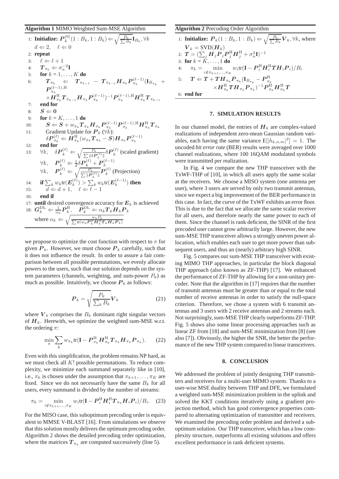#### **Algorithm 1** MIMO Weighted Sum-MSE Algorithm

1: **Initialize:** 
$$
P_k^{(0)}(1: B_k, 1: B_k) \Leftarrow \sqrt{\frac{P_k}{\sum B_k}} \mathbf{I}_{B_k}, \forall k
$$
  
\n $d \Leftarrow 2, \ell \Leftarrow 0$   
\n2: **repeat**  
\n3:  $\ell \Leftarrow \ell + 1$   
\n4:  $T_{\pi_0} \Leftarrow \sigma_n^{-2} \mathbf{I}$   
\n5: **for**  $k = 1, ..., K$  **do**  
\n6:  $T_{\pi_k} \Leftarrow T_{\pi_{k-1}} - T_{\pi_{k-1}} H_{\pi_k} P_{\pi_k}^{(\ell-1)} (\mathbf{I}_{B_{\pi_k}} + P_{\pi_k}^{(\ell-1)} \mathbf{I}_{B_{\pi_k}})$   
\n7: **end for**  
\n8:  $S \Leftarrow 0$   
\n9: **for**  $k = K, ..., 1$  **do**  
\n10:  $S \Leftarrow S + w_{\pi_k} T_{\pi_k} H_{\pi_k} P_{\pi_k}^{(\ell-1)} P_{\pi_k}^{(\ell-1)}, \mathbf{H}_{\pi_k} H_{\pi_k} T_{\pi_k}$   
\n11: Gradient Update for  $P_k (\forall k)$ :  
\n $\delta P_{\pi_k}^{(\ell)} \Leftarrow H_{\pi_k}^{\mathbf{H}} (w_{\pi_k} T_{\pi_k} - S) H_{\pi_k} P_{\pi_k}^{(\ell-1)}$   
\n12: **end for**  
\n13:  $\forall k, \delta P_k^{(\ell)} \Leftarrow \sqrt{\frac{P_k}{\sum || \delta P_k^{(\ell)} ||}} \delta P_k^{(\ell)}$  (scaled gradient)  
\n $\forall k, P_k^{(\ell)} \Leftarrow \frac{P_k}{d} \delta P_k^{(\ell)} + P_k^{(\ell-1)}$   
\n $\forall k, P_k^{(\ell)} \Leftarrow \sqrt{\frac{P_k}{\sum || P_k^{(\ell)} ||}} P_k^{(\ell)}$  (Projection)  
\n14: **if**  $\sum_k w_k \text{tr}(E_k^{(\ell)}) > \sum_k w_k \text{tr}(E_k^{(\ell-1)})$  **then**  
\n15:  $d \Leftarrow d + 1, \ell \Leftarrow \ell - 1$   
\n16: **end if**

we propose to optimize the cost function with respect to  $\pi$  for given  $P_k$ . However, we must choose  $P_k$  carefully, such that it does not influence the result. In order to assure a fair comparison between all possible permutations, we evenly allocate powers to the users, such that our solution depends on the system parameters (channels, weighting, and sum-power  $P_{tr}$ ) as much as possible. Intuitively, we choose  $P_k$  as follows:

$$
\boldsymbol{P}_k = \sqrt{\frac{P_{\text{tr}}}{\sum_k B_k}} \boldsymbol{V}_k \tag{21}
$$

where  $V_k$  comprises the  $B_k$  dominant right singular vectors of  $H_k$ . Herewith, we optimize the weighted sum-MSE w.r.t. the ordering  $\pi$ :

$$
\min_{\pi} \sum_{k} w_{\pi_k} \text{tr}(\mathbf{I} - \boldsymbol{P}_{\pi_k}^{\text{H}} \boldsymbol{H}_{\pi_k}^{\text{H}} \boldsymbol{T}_{\pi_k} \boldsymbol{H}_{\pi_k} \boldsymbol{P}_{\pi_k}). \tag{22}
$$

Even with this simplification, the problem remains NP hard, as we must check all  $K!$  possible permutations. To reduce complexity, we minimize each summand separately like in [10], i.e.,  $\pi_k$  is chosen under the assumption that  $\pi_{k+1}, \ldots, \pi_K$  are fixed. Since we do not necessarily have the same  $B_k$  for all users, every summand is divided by the number of streams:

$$
\pi_k = \min_{i \notin \pi_{k+1}, \dots, \pi_K} w_i \text{tr}(\mathbf{I} - \boldsymbol{P}_i^{\text{H}} \boldsymbol{H}_i^{\text{H}} \boldsymbol{T}_{\pi_k} \boldsymbol{H}_i \boldsymbol{P}_i) / B_i. \tag{23}
$$

For the MISO case, this suboptimum precoding order is equivalent to MMSE V-BLAST [16]. From simulations we observe that this solution mostly delivers the optimum precoding order. Algorithm 2 shows the detailed precoding order optimization, where the matrices  $T_{\pi_k}$  are computed successively (line 5).

**Algorithm 2** Precoding Order Algorithm

1: **Initialize:**  $P_k(1 : B_k, 1 : B_k) \Leftarrow \sqrt{\frac{P_{tr}}{\sum B_k}} V_k, \forall k$ , where  $V_k = \text{SVD}(\boldsymbol{H}_k)$  $\mathbf{Z}: \; \bm{T} = (\sum_i \bm{H}_j\bm{P}_j^{'}\bm{P}_j^{\rm H} \bm{H}_j^{\rm H} + \sigma_n^2 \mathbf{I})^{-1}$ 3: **for**  $k = K, ..., 1$  **do**  $\pi_k = \min_{i \notin \pi_{k+1}, \dots, \pi_K} w_i \text{tr}(\mathbf{I} - \boldsymbol{P}_i^\text{H} \boldsymbol{H}_i^\text{H} \boldsymbol{T} \boldsymbol{H}_i \boldsymbol{P}_i) / B_i$  $\tau_{\rm S:}$   $\quad \boldsymbol{T} \Leftarrow \boldsymbol{T} + \boldsymbol{T}\boldsymbol{H}_{\pi_k}\boldsymbol{P}_{\pi_k}(\mathbf{I}_{B_{\pi_k}}-\boldsymbol{P}_{\pi_k}^{\mathrm{H}})$  $\times \bm{H}_{\pi_k}^\mathrm{H} \bm{T} \bm{H}_{\pi_k} \bm{P}_{\pi_k} )^{-1} \bm{P}_{\pi_k}^\mathrm{H} \bm{H}_{\pi_k}^\mathrm{H} \bm{T}$ 6: **end for**

## **7. SIMULATION RESULTS**

In our channel model, the entries of  $H_k$  are complex-valued realizations of independent zero-mean Gaussian random variables, each having the same variance  $E[|h_{k,n,m}|^2] = 1$ . The uncoded *bit error rate* (BER) results were averaged over 1000 channel realizations, where 100 16QAM modulated symbols were transmitted per realization.

In Fig. 4 we compare the new THP transceiver with the TxWF-THP of [10], in which all users apply the same scalar at the receivers. We choose a MISO system (one antenna per user), where 3 users are served by only two transmit antennas, since we expect a big improvement of the BER performance in this case. In fact, the curve of the TxWF exhibits an error floor. This is due to the fact that we allocate the same scalar receiver for all users, and therefore nearly the same power to each of them. Since the channel is rank deficient, the SINR of the first precoded user cannot grow arbitrarily large. However, the new sum-MSE THP transceiver allows a strongly uneven power allocation, which enables each user to get more power than subsequent users, and thus an (nearly) arbitrary high SINR.

Fig. 5 compares our sum-MSE THP transceiver with existing MIMO THP approaches, in particular the block diagonal THP approach (also known as ZF-THP) [17]. We enhanced the performance of ZF-THP by allowing for a non-unitary precoder. Note that the algorithm in [17] requires that the number of transmit antennas must be greater than or equal to the total number of receive antennas in order to satisfy the null-space criterion. Therefore, we chose a system with 6 transmit antennas and 3 users with 2 receive antennas and 2 streams each. Not surprisingly, sum-MSE THP clearly outperforms ZF-THP. Fig. 5 shows also some linear processing approaches such as linear ZF from [18] and sum-MSE minimization from [8] (see also [7]). Obviously, the higher the SNR, the better the performance of the new THP system compared to linear transceivers.

#### **8. CONCLUSION**

We addressed the problem of jointly designing THP transmitters and receivers for a multi-user MIMO system. Thanks to a user-wise MSE duality between THP and DFE, we formulated a weighted sum-MSE minimization problem in the uplink and solved the KKT conditions iteratively using a gradient projection method, which has good convergence properties compared to alternating optimization of transmitter and receivers. We examined the precoding order problem and derived a suboptimum solution. Our THP transceiver, which has a low complexity structure, outperforms all existing solutions and offers excellent performance in rank deficient systems.